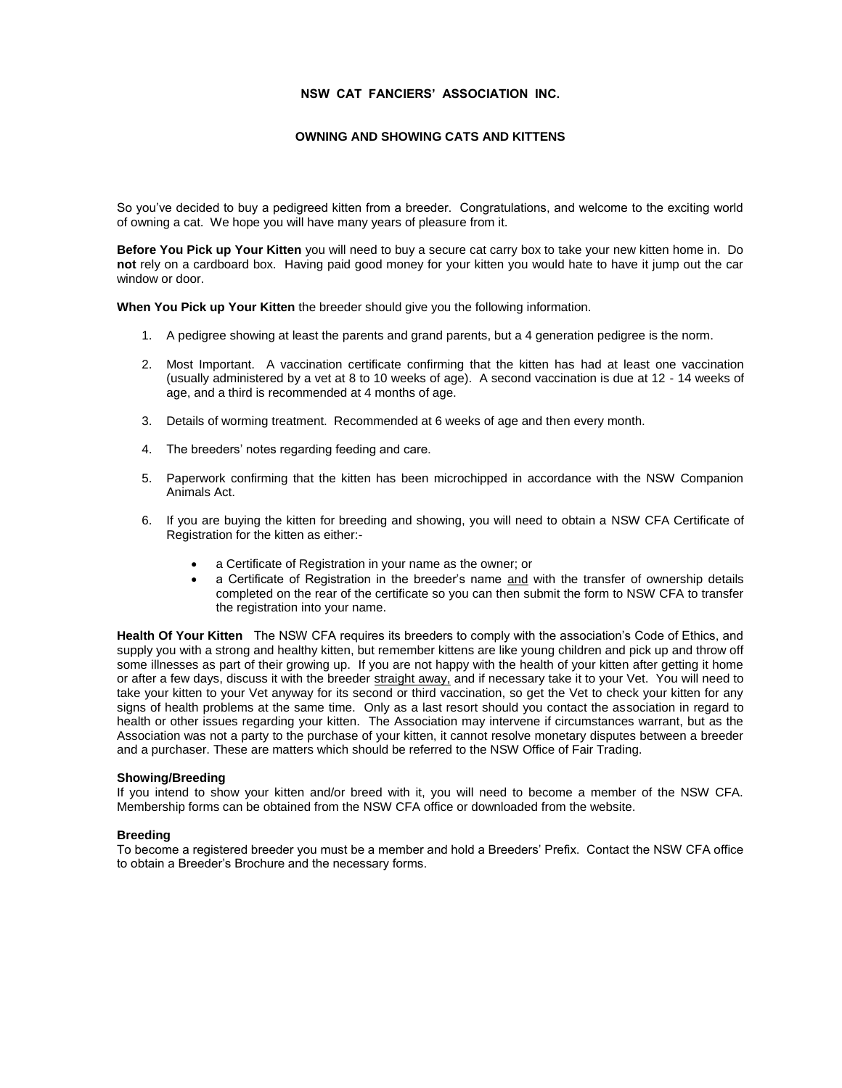# **NSW CAT FANCIERS' ASSOCIATION INC.**

# **OWNING AND SHOWING CATS AND KITTENS**

So you've decided to buy a pedigreed kitten from a breeder. Congratulations, and welcome to the exciting world of owning a cat. We hope you will have many years of pleasure from it.

**Before You Pick up Your Kitten** you will need to buy a secure cat carry box to take your new kitten home in. Do **not** rely on a cardboard box. Having paid good money for your kitten you would hate to have it jump out the car window or door.

**When You Pick up Your Kitten** the breeder should give you the following information.

- 1. A pedigree showing at least the parents and grand parents, but a 4 generation pedigree is the norm.
- 2. Most Important. A vaccination certificate confirming that the kitten has had at least one vaccination (usually administered by a vet at 8 to 10 weeks of age). A second vaccination is due at 12 - 14 weeks of age, and a third is recommended at 4 months of age.
- 3. Details of worming treatment. Recommended at 6 weeks of age and then every month.
- 4. The breeders' notes regarding feeding and care.
- 5. Paperwork confirming that the kitten has been microchipped in accordance with the NSW Companion Animals Act.
- 6. If you are buying the kitten for breeding and showing, you will need to obtain a NSW CFA Certificate of Registration for the kitten as either:
	- a Certificate of Registration in your name as the owner; or
	- a Certificate of Registration in the breeder's name and with the transfer of ownership details completed on the rear of the certificate so you can then submit the form to NSW CFA to transfer the registration into your name.

**Health Of Your Kitten** The NSW CFA requires its breeders to comply with the association's Code of Ethics, and supply you with a strong and healthy kitten, but remember kittens are like young children and pick up and throw off some illnesses as part of their growing up. If you are not happy with the health of your kitten after getting it home or after a few days, discuss it with the breeder straight away, and if necessary take it to your Vet. You will need to take your kitten to your Vet anyway for its second or third vaccination, so get the Vet to check your kitten for any signs of health problems at the same time. Only as a last resort should you contact the association in regard to health or other issues regarding your kitten. The Association may intervene if circumstances warrant, but as the Association was not a party to the purchase of your kitten, it cannot resolve monetary disputes between a breeder and a purchaser. These are matters which should be referred to the NSW Office of Fair Trading.

### **Showing/Breeding**

If you intend to show your kitten and/or breed with it, you will need to become a member of the NSW CFA. Membership forms can be obtained from the NSW CFA office or downloaded from the website.

## **Breeding**

To become a registered breeder you must be a member and hold a Breeders' Prefix. Contact the NSW CFA office to obtain a Breeder's Brochure and the necessary forms.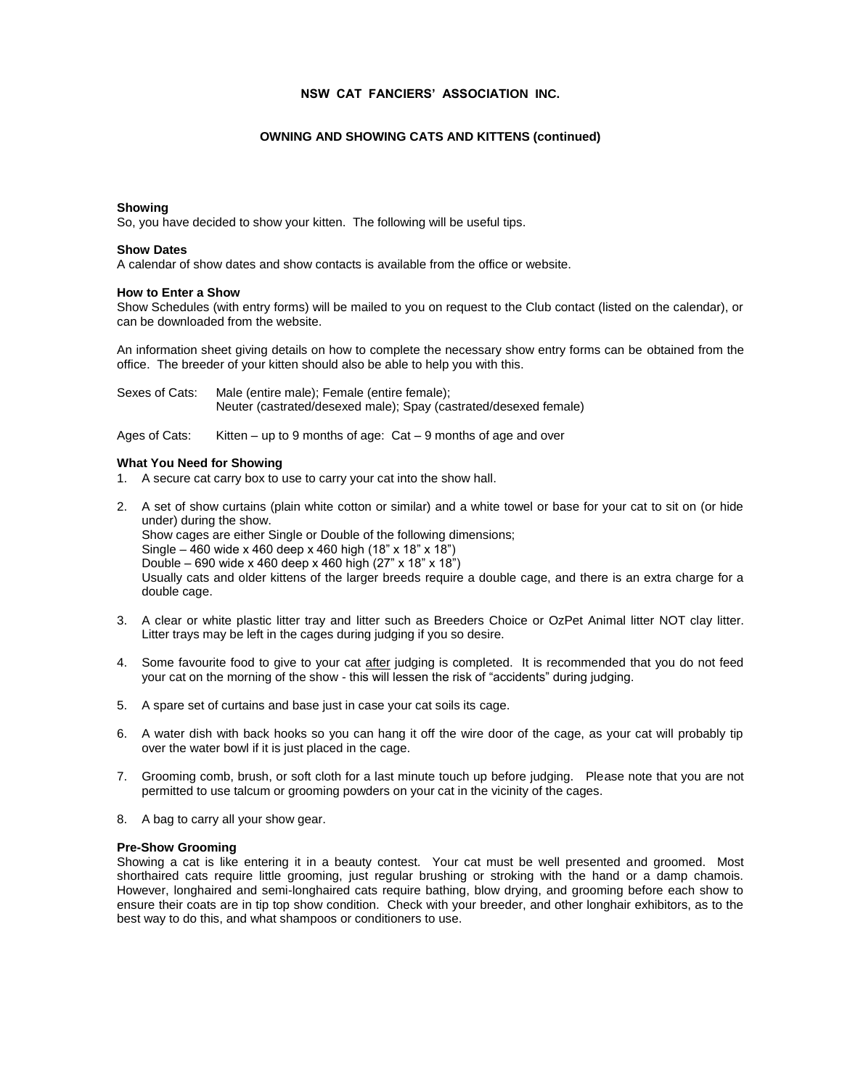# **NSW CAT FANCIERS' ASSOCIATION INC.**

## **OWNING AND SHOWING CATS AND KITTENS (continued)**

#### **Showing**

So, you have decided to show your kitten. The following will be useful tips.

## **Show Dates**

A calendar of show dates and show contacts is available from the office or website.

## **How to Enter a Show**

Show Schedules (with entry forms) will be mailed to you on request to the Club contact (listed on the calendar), or can be downloaded from the website.

An information sheet giving details on how to complete the necessary show entry forms can be obtained from the office. The breeder of your kitten should also be able to help you with this.

| Sexes of Cats: | Male (entire male); Female (entire female);                      |
|----------------|------------------------------------------------------------------|
|                | Neuter (castrated/desexed male); Spay (castrated/desexed female) |

Ages of Cats: Kitten – up to 9 months of age: Cat – 9 months of age and over

#### **What You Need for Showing**

- 1. A secure cat carry box to use to carry your cat into the show hall.
- 2. A set of show curtains (plain white cotton or similar) and a white towel or base for your cat to sit on (or hide under) during the show. Show cages are either Single or Double of the following dimensions; Single – 460 wide x 460 deep x 460 high (18" x 18" x 18") Double – 690 wide x 460 deep x 460 high (27" x 18" x 18") Usually cats and older kittens of the larger breeds require a double cage, and there is an extra charge for a double cage.
- 3. A clear or white plastic litter tray and litter such as Breeders Choice or OzPet Animal litter NOT clay litter. Litter trays may be left in the cages during judging if you so desire.
- 4. Some favourite food to give to your cat after judging is completed. It is recommended that you do not feed your cat on the morning of the show - this will lessen the risk of "accidents" during judging.
- 5. A spare set of curtains and base just in case your cat soils its cage.
- 6. A water dish with back hooks so you can hang it off the wire door of the cage, as your cat will probably tip over the water bowl if it is just placed in the cage.
- 7. Grooming comb, brush, or soft cloth for a last minute touch up before judging. Please note that you are not permitted to use talcum or grooming powders on your cat in the vicinity of the cages.
- 8. A bag to carry all your show gear.

#### **Pre-Show Grooming**

Showing a cat is like entering it in a beauty contest. Your cat must be well presented and groomed. Most shorthaired cats require little grooming, just regular brushing or stroking with the hand or a damp chamois. However, longhaired and semi-longhaired cats require bathing, blow drying, and grooming before each show to ensure their coats are in tip top show condition. Check with your breeder, and other longhair exhibitors, as to the best way to do this, and what shampoos or conditioners to use.